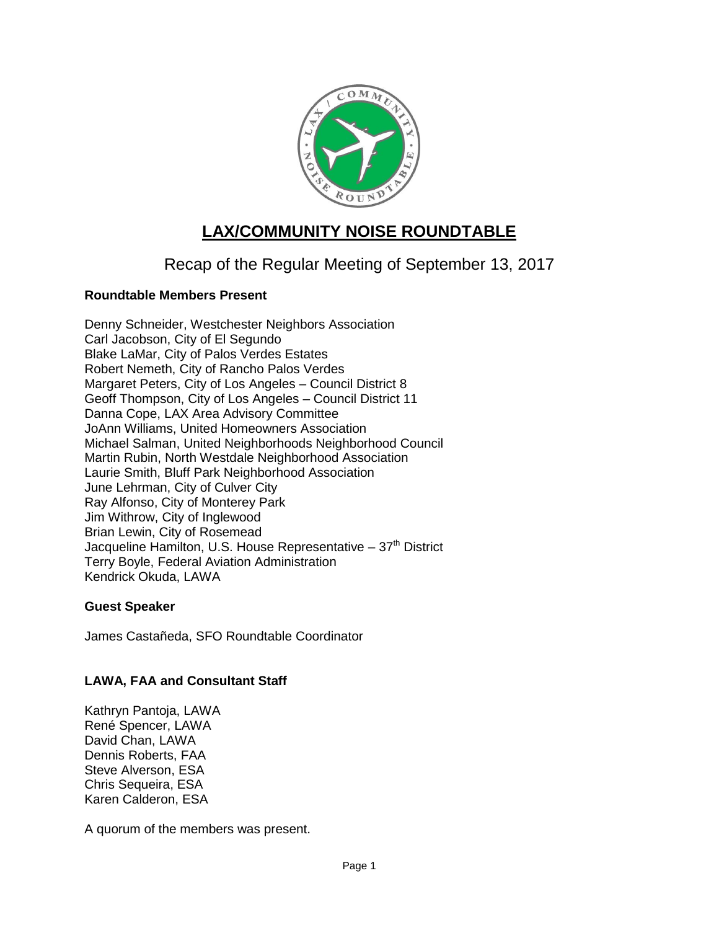

# **LAX/COMMUNITY NOISE ROUNDTABLE**

## Recap of the Regular Meeting of September 13, 2017

## **Roundtable Members Present**

Denny Schneider, Westchester Neighbors Association Carl Jacobson, City of El Segundo Blake LaMar, City of Palos Verdes Estates Robert Nemeth, City of Rancho Palos Verdes Margaret Peters, City of Los Angeles – Council District 8 Geoff Thompson, City of Los Angeles – Council District 11 Danna Cope, LAX Area Advisory Committee JoAnn Williams, United Homeowners Association Michael Salman, United Neighborhoods Neighborhood Council Martin Rubin, North Westdale Neighborhood Association Laurie Smith, Bluff Park Neighborhood Association June Lehrman, City of Culver City Ray Alfonso, City of Monterey Park Jim Withrow, City of Inglewood Brian Lewin, City of Rosemead Jacqueline Hamilton, U.S. House Representative  $-37<sup>th</sup>$  District Terry Boyle, Federal Aviation Administration Kendrick Okuda, LAWA

## **Guest Speaker**

James Castañeda, SFO Roundtable Coordinator

## **LAWA, FAA and Consultant Staff**

Kathryn Pantoja, LAWA René Spencer, LAWA David Chan, LAWA Dennis Roberts, FAA Steve Alverson, ESA Chris Sequeira, ESA Karen Calderon, ESA

A quorum of the members was present.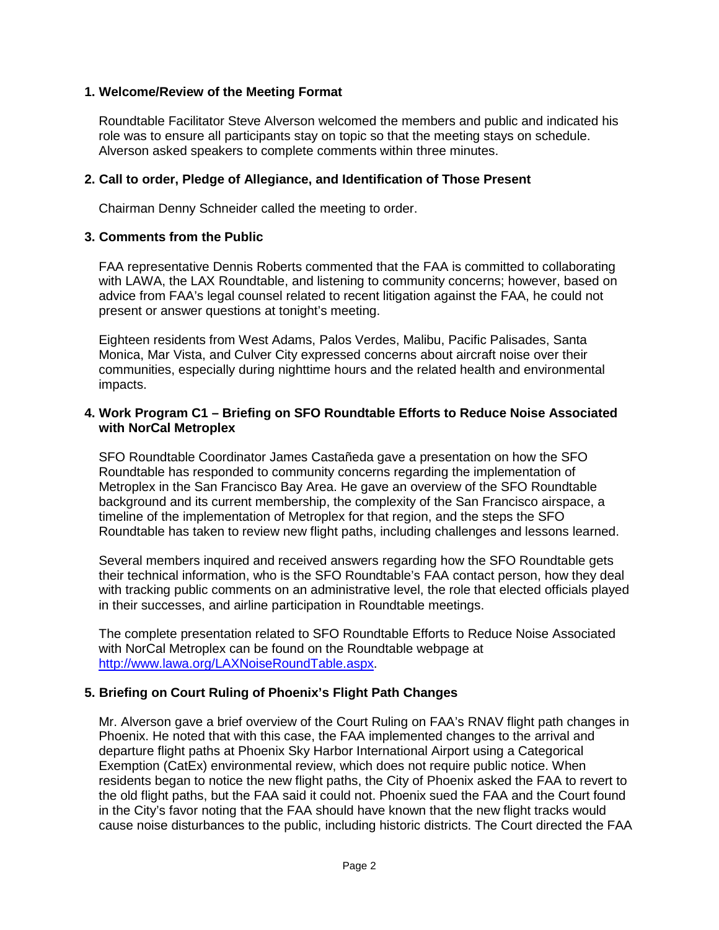#### **1. Welcome/Review of the Meeting Format**

Roundtable Facilitator Steve Alverson welcomed the members and public and indicated his role was to ensure all participants stay on topic so that the meeting stays on schedule. Alverson asked speakers to complete comments within three minutes.

#### **2. Call to order, Pledge of Allegiance, and Identification of Those Present**

Chairman Denny Schneider called the meeting to order.

#### **3. Comments from the Public**

FAA representative Dennis Roberts commented that the FAA is committed to collaborating with LAWA, the LAX Roundtable, and listening to community concerns; however, based on advice from FAA's legal counsel related to recent litigation against the FAA, he could not present or answer questions at tonight's meeting.

Eighteen residents from West Adams, Palos Verdes, Malibu, Pacific Palisades, Santa Monica, Mar Vista, and Culver City expressed concerns about aircraft noise over their communities, especially during nighttime hours and the related health and environmental impacts.

#### **4. Work Program C1 – Briefing on SFO Roundtable Efforts to Reduce Noise Associated with NorCal Metroplex**

SFO Roundtable Coordinator James Castañeda gave a presentation on how the SFO Roundtable has responded to community concerns regarding the implementation of Metroplex in the San Francisco Bay Area. He gave an overview of the SFO Roundtable background and its current membership, the complexity of the San Francisco airspace, a timeline of the implementation of Metroplex for that region, and the steps the SFO Roundtable has taken to review new flight paths, including challenges and lessons learned.

Several members inquired and received answers regarding how the SFO Roundtable gets their technical information, who is the SFO Roundtable's FAA contact person, how they deal with tracking public comments on an administrative level, the role that elected officials played in their successes, and airline participation in Roundtable meetings.

The complete presentation related to SFO Roundtable Efforts to Reduce Noise Associated with NorCal Metroplex can be found on the Roundtable webpage at [http://www.lawa.org/LAXNoiseRoundTable.aspx.](http://www.lawa.org/LAXNoiseRoundTable.aspx)

#### **5. Briefing on Court Ruling of Phoenix's Flight Path Changes**

Mr. Alverson gave a brief overview of the Court Ruling on FAA's RNAV flight path changes in Phoenix. He noted that with this case, the FAA implemented changes to the arrival and departure flight paths at Phoenix Sky Harbor International Airport using a Categorical Exemption (CatEx) environmental review, which does not require public notice. When residents began to notice the new flight paths, the City of Phoenix asked the FAA to revert to the old flight paths, but the FAA said it could not. Phoenix sued the FAA and the Court found in the City's favor noting that the FAA should have known that the new flight tracks would cause noise disturbances to the public, including historic districts. The Court directed the FAA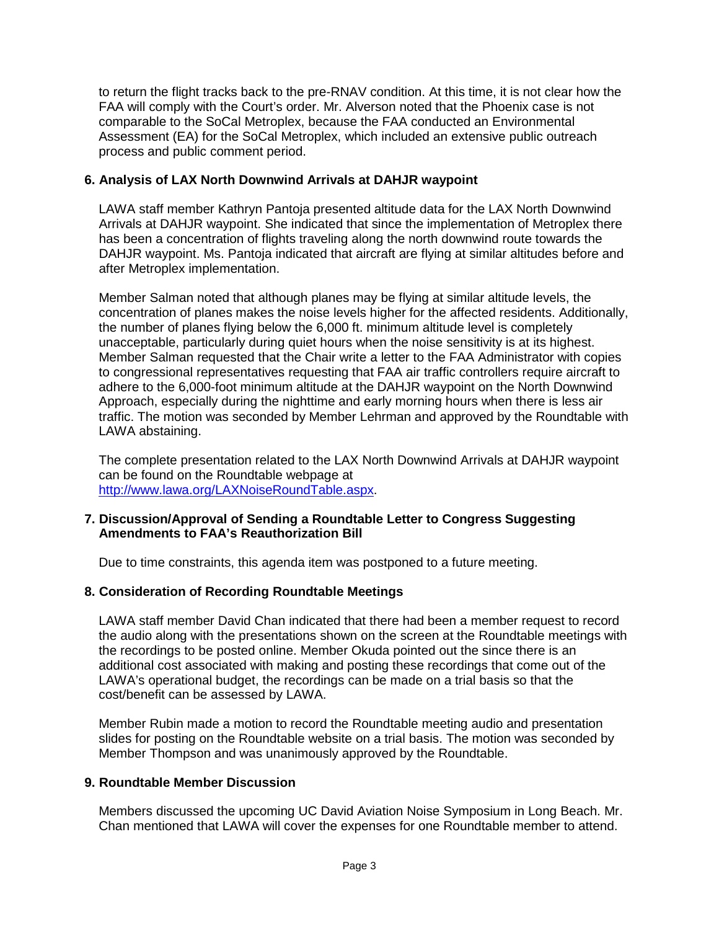to return the flight tracks back to the pre-RNAV condition. At this time, it is not clear how the FAA will comply with the Court's order. Mr. Alverson noted that the Phoenix case is not comparable to the SoCal Metroplex, because the FAA conducted an Environmental Assessment (EA) for the SoCal Metroplex, which included an extensive public outreach process and public comment period.

#### **6. Analysis of LAX North Downwind Arrivals at DAHJR waypoint**

LAWA staff member Kathryn Pantoja presented altitude data for the LAX North Downwind Arrivals at DAHJR waypoint. She indicated that since the implementation of Metroplex there has been a concentration of flights traveling along the north downwind route towards the DAHJR waypoint. Ms. Pantoja indicated that aircraft are flying at similar altitudes before and after Metroplex implementation.

Member Salman noted that although planes may be flying at similar altitude levels, the concentration of planes makes the noise levels higher for the affected residents. Additionally, the number of planes flying below the 6,000 ft. minimum altitude level is completely unacceptable, particularly during quiet hours when the noise sensitivity is at its highest. Member Salman requested that the Chair write a letter to the FAA Administrator with copies to congressional representatives requesting that FAA air traffic controllers require aircraft to adhere to the 6,000-foot minimum altitude at the DAHJR waypoint on the North Downwind Approach, especially during the nighttime and early morning hours when there is less air traffic. The motion was seconded by Member Lehrman and approved by the Roundtable with LAWA abstaining.

The complete presentation related to the LAX North Downwind Arrivals at DAHJR waypoint can be found on the Roundtable webpage at [http://www.lawa.org/LAXNoiseRoundTable.aspx.](http://www.lawa.org/LAXNoiseRoundTable.aspx)

#### **7. Discussion/Approval of Sending a Roundtable Letter to Congress Suggesting Amendments to FAA's Reauthorization Bill**

Due to time constraints, this agenda item was postponed to a future meeting.

## **8. Consideration of Recording Roundtable Meetings**

LAWA staff member David Chan indicated that there had been a member request to record the audio along with the presentations shown on the screen at the Roundtable meetings with the recordings to be posted online. Member Okuda pointed out the since there is an additional cost associated with making and posting these recordings that come out of the LAWA's operational budget, the recordings can be made on a trial basis so that the cost/benefit can be assessed by LAWA.

Member Rubin made a motion to record the Roundtable meeting audio and presentation slides for posting on the Roundtable website on a trial basis. The motion was seconded by Member Thompson and was unanimously approved by the Roundtable.

#### **9. Roundtable Member Discussion**

Members discussed the upcoming UC David Aviation Noise Symposium in Long Beach. Mr. Chan mentioned that LAWA will cover the expenses for one Roundtable member to attend.